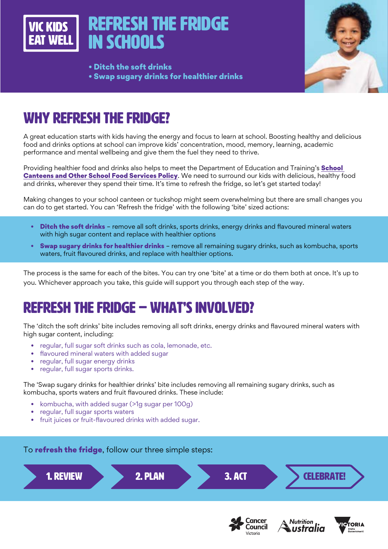

• Ditch the soft drinks • Swap sugary drinks for healthier drinks



## WHY REFRESH THE FRIDGE?

A great education starts with kids having the energy and focus to learn at school. Boosting healthy and delicious food and drinks options at school can improve kids' concentration, mood, memory, learning, academic performance and mental wellbeing and give them the fuel they need to thrive.

Providing healthier food and drinks also helps to meet the Department of Education and Training's **School** [Canteens and Other School Food Services Policy](https://www2.education.vic.gov.au/pal/canteens-and-healthy-eating/policy). We need to surround our kids with delicious, healthy food and drinks, wherever they spend their time. It's time to refresh the fridge, so let's get started today!

Making changes to your school canteen or tuckshop might seem overwhelming but there are small changes you can do to get started. You can 'Refresh the fridge' with the following 'bite' sized actions:

- Ditch the soft drinks remove all soft drinks, sports drinks, energy drinks and flavoured mineral waters with high sugar content and replace with healthier options
- Swap sugary drinks for healthier drinks remove all remaining sugary drinks, such as kombucha, sports waters, fruit flavoured drinks, and replace with healthier options.

The process is the same for each of the bites. You can try one 'bite' at a time or do them both at once. It's up to you. Whichever approach you take, this guide will support you through each step of the way.

## REFRESH THE FRIDGE – WHAT'S INVOLVED?

The 'ditch the soft drinks' bite includes removing all soft drinks, energy drinks and flavoured mineral waters with high sugar content, including:

- regular, full sugar soft drinks such as cola, lemonade, etc.
- flavoured mineral waters with added sugar
- regular, full sugar energy drinks
- regular, full sugar sports drinks.

The 'Swap sugary drinks for healthier drinks' bite includes removing all remaining sugary drinks, such as kombucha, sports waters and fruit flavoured drinks. These include:

- kombucha, with added sugar (>1g sugar per 100g)
- regular, full sugar sports waters
- fruit juices or fruit-flavoured drinks with added sugar.



Victoria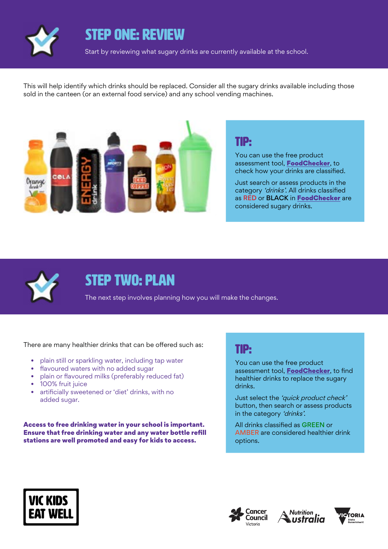

## STEP ONE: REVIEW

Start by reviewing what sugary drinks are currently available at the school.

This will help identify which drinks should be replaced. Consider all the sugary drinks available including those sold in the canteen (or an external food service) and any school vending machines.



### TIP:

You can use the free product assessment tool, **[FoodChecker](https://foodchecker.heas.health.vic.gov.au/)**, to check how your drinks are classified.

Just search or assess products in the category 'drinks'. All drinks classified as RED or BLACK in [FoodChecker](https://foodchecker.heas.health.vic.gov.au/) are considered sugary drinks.



## STEP TWO: PLAN

The next step involves planning how you will make the changes.

There are many healthier drinks that can be offered such as:

- plain still or sparkling water, including tap water
- flavoured waters with no added sugar
- plain or flavoured milks (preferably reduced fat)
- 100% fruit juice
- artificially sweetened or 'diet' drinks, with no added sugar.

Access to free drinking water in your school is important. Ensure that free drinking water and any water bottle refill stations are well promoted and easy for kids to access.

#### TIP:

You can use the free product assessment tool, [FoodChecker](https://foodchecker.heas.health.vic.gov.au/), to find healthier drinks to replace the sugary drinks.

Just select the 'quick product check' button, then search or assess products in the category 'drinks'.

All drinks classified as GREEN or AMBER are considered healthier drink options.







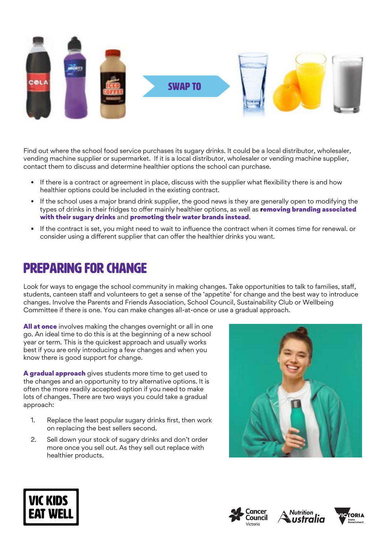

Find out where the school food service purchases its sugary drinks. It could be a local distributor, wholesaler, vending machine supplier or supermarket. If it is a local distributor, wholesaler or vending machine supplier, contact them to discuss and determine healthier options the school can purchase.

- If there is a contract or agreement in place, discuss with the supplier what flexibility there is and how healthier options could be included in the existing contract.
- If the school uses a major brand drink supplier, the good news is they are generally open to modifying the types of drinks in their fridges to offer mainly healthier options, as well as removing branding associated with their sugary drinks and promoting their water brands instead.
- If the contract is set, you might need to wait to influence the contract when it comes time for renewal. or consider using a different supplier that can offer the healthier drinks you want.

## Preparing for change

Look for ways to engage the school community in making changes. Take opportunities to talk to families, staff, students, canteen staff and volunteers to get a sense of the 'appetite' for change and the best way to introduce changes. Involve the Parents and Friends Association, School Council, Sustainability Club or Wellbeing Committee if there is one. You can make changes all-at-once or use a gradual approach.

**All at once** involves making the changes overnight or all in one go. An ideal time to do this is at the beginning of a new school year or term. This is the quickest approach and usually works best if you are only introducing a few changes and when you know there is good support for change.

A gradual approach gives students more time to get used to the changes and an opportunity to try alternative options. It is often the more readily accepted option if you need to make lots of changes. There are two ways you could take a gradual approach:

- 1. Replace the least popular sugary drinks first, then work on replacing the best sellers second.
- 2. Sell down your stock of sugary drinks and don't order more once you sell out. As they sell out replace with healthier products.









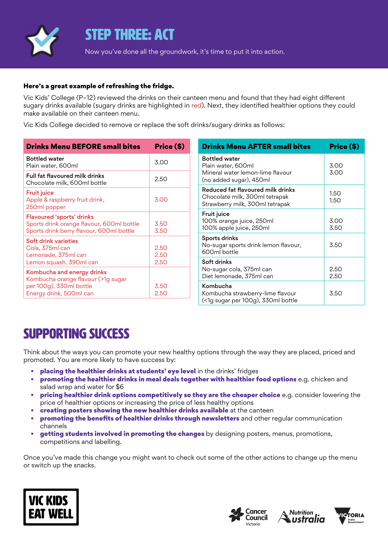

### STEP THREE: ACT

Now you've done all the groundwork, it's time to put it into action.

#### Here's a great example of refreshing the fridge.

Vic Kids' College (P–12) reviewed the drinks on their canteen menu and found that they had eight different sugary drinks available (sugary drinks are highlighted in red). Next, they identified healthier options they could make available on their canteen menu.

Vic Kids College decided to remove or replace the soft drinks/sugary drinks as follows:

| <b>Drinks Menu BEFORE small bites</b>                                                                                     | Price (\$)           |
|---------------------------------------------------------------------------------------------------------------------------|----------------------|
| <b>Bottled water</b><br>Plain water, 600ml                                                                                | 3.00                 |
| <b>Full fat flavoured milk drinks</b><br>Chocolate milk, 600ml bottle                                                     | 2.50                 |
| <b>Fruit juice</b><br>Apple & raspberry fruit drink,<br>250ml popper                                                      | 3.00                 |
| <b>Flavoured 'sports' drinks</b><br>Sports drink orange flavour, 600ml bottle<br>Sports drink berry flavour, 600ml bottle | 3.50<br>3.50         |
| Soft drink varieties<br>Cola, 375ml can<br>Lemonade, 375ml can<br>Lemon squash, 390ml can                                 | 2.50<br>2.50<br>2.50 |
| Kombucha and energy drinks<br>Kombucha orange flavour (>1g sugar<br>per 100g), 330ml bottle<br>Energy drink, 500ml can    | 3.50<br>2.50         |

| <b>Drinks Menu AFTER small bites</b>                                                                      | Price (\$)   |
|-----------------------------------------------------------------------------------------------------------|--------------|
| <b>Bottled</b> water<br>Plain water, 600ml<br>Mineral water lemon-lime flavour<br>(no added sugar), 450ml | 3.00<br>3.00 |
| Reduced fat flavoured milk drinks<br>Chocolate milk, 300ml tetrapak<br>Strawberry milk, 300ml tetrapak    | 1.50<br>1.50 |
| Fruit juice<br>100% orange juice, 250ml<br>100% apple juice, 250ml                                        | 3.00<br>3.50 |
| Sports drinks<br>No-sugar sports drink lemon flavour,<br>600ml bottle                                     | 3.50         |
| Soft drinks<br>No-sugar cola, 375ml can<br>Diet lemonade, 375ml can                                       | 2.50<br>2.50 |
| Kombucha<br>Kombucha strawberry-lime flavour<br>(<1g sugar per 100g), 330ml bottle                        | 3.50         |

## SUPPORTING SUCCESS

Think about the ways you can promote your new healthy options through the way they are placed, priced and promoted. You are more likely to have success by:

- placing the healthier drinks at students' eye level in the drinks' fridges
- promoting the healthier drinks in meal deals together with healthier food options e.g. chicken and salad wrap and water for \$6
- pricing healthier drink options competitively so they are the cheaper choice e.g. consider lowering the price of healthier options or increasing the price of less healthy options
- creating posters showing the new healthier drinks available at the canteen
- **promoting the benefits of healthier drinks through newsletters** and other regular communication channels
- **getting students involved in promoting the changes** by designing posters, menus, promotions, competitions and labelling.

Once you've made this change you might want to check out some of the other actions to change up the menu or switch up the snacks.